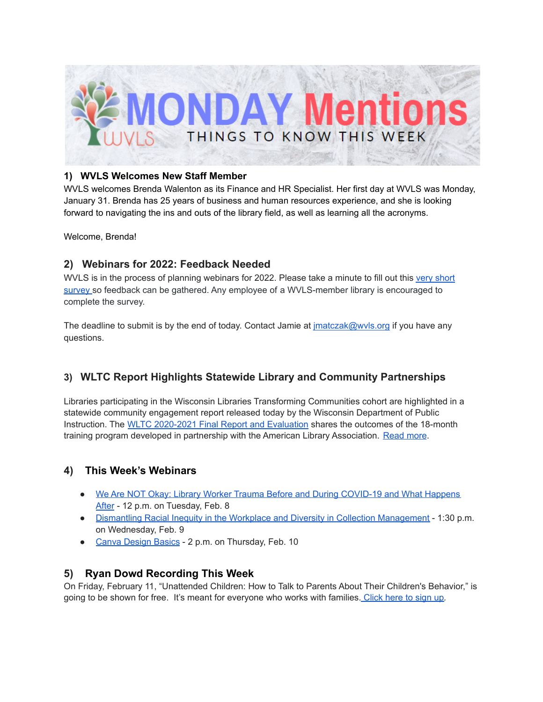

#### **1) WVLS Welcomes New Staff Member**

WVLS welcomes Brenda Walenton as its Finance and HR Specialist. Her first day at WVLS was Monday, January 31. Brenda has 25 years of business and human resources experience, and she is looking forward to navigating the ins and outs of the library field, as well as learning all the acronyms.

Welcome, Brenda!

# **2) Webinars for 2022: Feedback Needed**

WVLS is in the process of planning webinars for 2022. Please take a minute to fill out this very [short](https://forms.gle/6u7hz7s1NxmMzdmF8) [survey](https://forms.gle/6u7hz7s1NxmMzdmF8) so feedback can be gathered. Any employee of a WVLS-member library is encouraged to complete the survey.

The deadline to submit is by the end of today. Contact Jamie at  $\frac{1}{2}$  matczak@wvls.org if you have any questions.

# **3) WLTC Report Highlights Statewide Library and Community Partnerships**

Libraries participating in the Wisconsin Libraries Transforming Communities cohort are highlighted in a statewide community engagement report released today by the Wisconsin Department of Public Instruction. The WLTC [2020-2021](https://dpi.wi.gov/sites/default/files/imce/pld/pdf/WLTC_Final_Report_Evaluation.pdf) Final Report and Evaluation shares the outcomes of the 18-month training program developed in partnership with the American Library Association. [Read](https://dpi.wi.gov/wilibrariesforeveryone/wltc-report-highlights-statewide-library-and-community-partnerships) more.

# **4) This Week's Webinars**

- We Are NOT Okay: Library Worker Trauma Before and During [COVID-19](https://us06web.zoom.us/webinar/register/WN_Kn5WRBm_SHKsisLQWH3Z7w?timezone_id=America%2FChicago) and What Happens [After](https://us06web.zoom.us/webinar/register/WN_Kn5WRBm_SHKsisLQWH3Z7w?timezone_id=America%2FChicago) - 12 p.m. on Tuesday, Feb. 8
- Dismantling Racial Inequity in the Workplace and Diversity in Collection [Management](https://follett.zoom.us/webinar/register/WN_mlq31xRQSqenz86bNE7uWg?timezone_id=America%2FChicago) 1:30 p.m. on Wednesday, Feb. 9
- Canva [Design](https://us02web.zoom.us/meeting/register/tZYpdOmvqTovHtSaPJG2Ck02GvhLRR4kbvVQ?timezone_id=America%2FChicago) Basics 2 p.m. on Thursday, Feb. 10

### **5) Ryan Dowd Recording This Week**

On Friday, February 11, "Unattended Children: How to Talk to Parents About Their Children's Behavior," is going to be shown for free. It's meant for everyone who works with families. [Click](https://www.homelesstraining.com/free-training/) here to sign up*.*